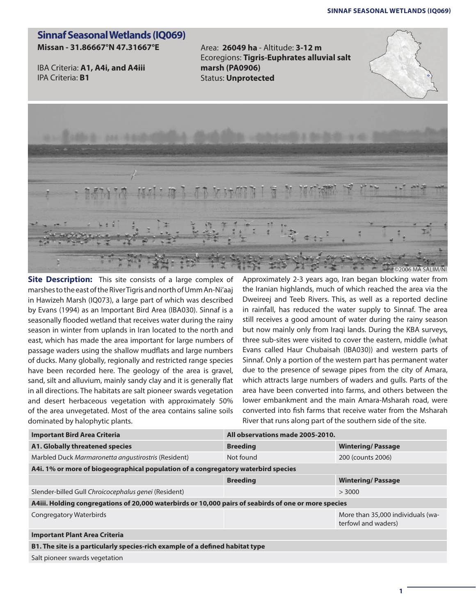## **Sinnaf Seasonal Wetlands (IQ069) Missan - 31.86667°N 47.31667°E**

IBA Criteria: **A1, A4i, and A4iii** IPA Criteria: **B1**

Area: **26049 ha** - Altitude: **3-12 m** Ecoregions: **Tigris-Euphrates alluvial salt marsh (PA0906)** Status: **Unprotected** 





**Site Description:** This site consists of a large complex of marshes to the east of the River Tigris and north of Umm An-Ni'aaj in Hawizeh Marsh (IQ073), a large part of which was described by Evans (1994) as an Important Bird Area (IBA030). Sinnaf is a seasonally flooded wetland that receives water during the rainy season in winter from uplands in Iran located to the north and east, which has made the area important for large numbers of passage waders using the shallow mudflats and large numbers of ducks. Many globally, regionally and restricted range species have been recorded here. The geology of the area is gravel, sand, silt and alluvium, mainly sandy clay and it is generally flat in all directions. The habitats are salt pioneer swards vegetation and desert herbaceous vegetation with approximately 50% of the area unvegetated. Most of the area contains saline soils dominated by halophytic plants.

Approximately 2-3 years ago, Iran began blocking water from the Iranian highlands, much of which reached the area via the Dweireej and Teeb Rivers. This, as well as a reported decline in rainfall, has reduced the water supply to Sinnaf. The area still receives a good amount of water during the rainy season but now mainly only from Iraqi lands. During the KBA surveys, three sub-sites were visited to cover the eastern, middle (what Evans called Haur Chubaisah (IBA030)) and western parts of Sinnaf. Only a portion of the western part has permanent water due to the presence of sewage pipes from the city of Amara, which attracts large numbers of waders and gulls. Parts of the area have been converted into farms, and others between the lower embankment and the main Amara-Msharah road, were converted into fish farms that receive water from the Msharah River that runs along part of the southern side of the site.

| <b>Important Bird Area Criteria</b>                                                                  | All observations made 2005-2010. |                                                          |
|------------------------------------------------------------------------------------------------------|----------------------------------|----------------------------------------------------------|
| A1. Globally threatened species                                                                      | <b>Breeding</b>                  | <b>Wintering/Passage</b>                                 |
| Marbled Duck Marmaronetta angustirostris (Resident)                                                  | Not found                        | 200 (counts 2006)                                        |
| A4i. 1% or more of biogeographical population of a congregatory waterbird species                    |                                  |                                                          |
|                                                                                                      | <b>Breeding</b>                  | <b>Wintering/Passage</b>                                 |
| Slender-billed Gull Chroicocephalus genei (Resident)                                                 |                                  | > 3000                                                   |
| A4iii. Holding congregations of 20,000 waterbirds or 10,000 pairs of seabirds of one or more species |                                  |                                                          |
| <b>Congregatory Waterbirds</b>                                                                       |                                  | More than 35,000 individuals (wa-<br>terfowl and waders) |
| <b>Important Plant Area Criteria</b>                                                                 |                                  |                                                          |
| B1. The site is a particularly species-rich example of a defined habitat type                        |                                  |                                                          |
|                                                                                                      |                                  |                                                          |

Salt pioneer swards vegetation